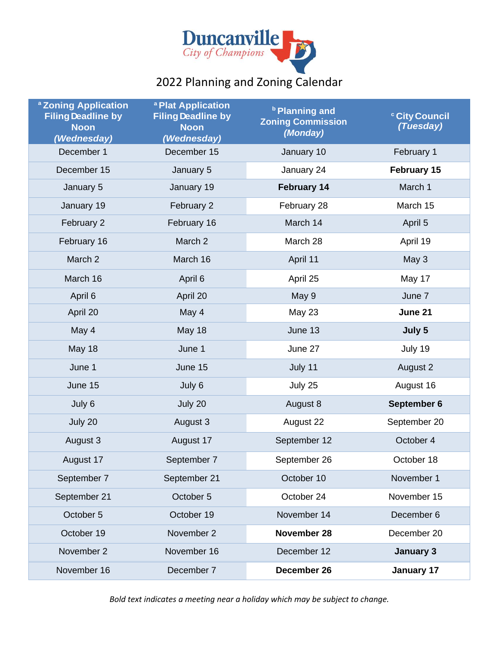

# 2022 Planning and Zoning Calendar

| <sup>a</sup> Zoning Application<br><b>Filing Deadline by</b><br><b>Noon</b><br>(Wednesday) | a Plat Application<br><b>Filing Deadline by</b><br><b>Noon</b><br>(Wednesday) | <b>b</b> Planning and<br><b>Zoning Commission</b><br>(Monday) | <sup>c</sup> City Council<br>(Tuesday) |
|--------------------------------------------------------------------------------------------|-------------------------------------------------------------------------------|---------------------------------------------------------------|----------------------------------------|
| December 1                                                                                 | December 15                                                                   | January 10                                                    | February 1                             |
| December 15                                                                                | January 5                                                                     | January 24                                                    | February 15                            |
| January 5                                                                                  | January 19                                                                    | <b>February 14</b>                                            | March 1                                |
| January 19                                                                                 | February 2                                                                    | February 28                                                   | March 15                               |
| February 2                                                                                 | February 16                                                                   | March 14                                                      | April 5                                |
| February 16                                                                                | March 2                                                                       | March 28                                                      | April 19                               |
| March 2                                                                                    | March 16                                                                      | April 11                                                      | May 3                                  |
| March 16                                                                                   | April 6                                                                       | April 25                                                      | May 17                                 |
| April 6                                                                                    | April 20                                                                      | May 9                                                         | June 7                                 |
| April 20                                                                                   | May 4                                                                         | May 23                                                        | June 21                                |
| May 4                                                                                      | May 18                                                                        | June 13                                                       | July 5                                 |
| <b>May 18</b>                                                                              | June 1                                                                        | June 27                                                       | July 19                                |
| June 1                                                                                     | June 15                                                                       | July 11                                                       | August 2                               |
| June 15                                                                                    | July 6                                                                        | July 25                                                       | August 16                              |
| July 6                                                                                     | July 20                                                                       | August 8                                                      | September 6                            |
| July 20                                                                                    | August 3                                                                      | August 22                                                     | September 20                           |
| August 3                                                                                   | August 17                                                                     | September 12                                                  | October 4                              |
| August 17                                                                                  | September 7                                                                   | September 26                                                  | October 18                             |
| September 7                                                                                | September 21                                                                  | October 10                                                    | November 1                             |
| September 21                                                                               | October 5                                                                     | October 24                                                    | November 15                            |
| October 5                                                                                  | October 19                                                                    | November 14                                                   | December 6                             |
| October 19                                                                                 | November 2                                                                    | November 28                                                   | December 20                            |
| November 2                                                                                 | November 16                                                                   | December 12                                                   | <b>January 3</b>                       |
| November 16                                                                                | December 7                                                                    | December 26                                                   | January 17                             |

*Bold text indicates a meeting near a holiday which may be subject to change.*